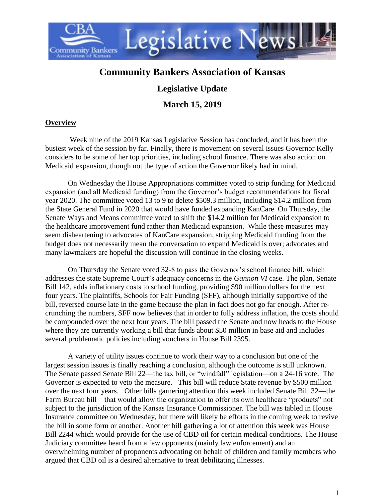

# **Community Bankers Association of Kansas**

## **Legislative Update**

### **March 15, 2019**

### **Overview**

Week nine of the 2019 Kansas Legislative Session has concluded, and it has been the busiest week of the session by far. Finally, there is movement on several issues Governor Kelly considers to be some of her top priorities, including school finance. There was also action on Medicaid expansion, though not the type of action the Governor likely had in mind.

On Wednesday the House Appropriations committee voted to strip funding for Medicaid expansion (and all Medicaid funding) from the Governor's budget recommendations for fiscal year 2020. The committee voted 13 to 9 to delete \$509.3 million, including \$14.2 million from the State General Fund in 2020 that would have funded expanding KanCare. On Thursday, the Senate Ways and Means committee voted to shift the \$14.2 million for Medicaid expansion to the healthcare improvement fund rather than Medicaid expansion. While these measures may seem disheartening to advocates of KanCare expansion, stripping Medicaid funding from the budget does not necessarily mean the conversation to expand Medicaid is over; advocates and many lawmakers are hopeful the discussion will continue in the closing weeks.

On Thursday the Senate voted 32-8 to pass the Governor's school finance bill, which addresses the state Supreme Court's adequacy concerns in the *Gannon VI* case. The plan, Senate Bill 142, adds inflationary costs to school funding, providing \$90 million dollars for the next four years. The plaintiffs, Schools for Fair Funding (SFF), although initially supportive of the bill, reversed course late in the game because the plan in fact does not go far enough. After recrunching the numbers, SFF now believes that in order to fully address inflation, the costs should be compounded over the next four years. The bill passed the Senate and now heads to the House where they are currently working a bill that funds about \$50 million in base aid and includes several problematic policies including vouchers in House Bill 2395.

A variety of utility issues continue to work their way to a conclusion but one of the largest session issues is finally reaching a conclusion, although the outcome is still unknown. The Senate passed Senate Bill 22—the tax bill, or "windfall" legislation—on a 24-16 vote. The Governor is expected to veto the measure. This bill will reduce State revenue by \$500 million over the next four years. Other bills garnering attention this week included Senate Bill 32—the Farm Bureau bill—that would allow the organization to offer its own healthcare "products" not subject to the jurisdiction of the Kansas Insurance Commissioner. The bill was tabled in House Insurance committee on Wednesday, but there will likely be efforts in the coming week to revive the bill in some form or another. Another bill gathering a lot of attention this week was House Bill 2244 which would provide for the use of CBD oil for certain medical conditions. The House Judiciary committee heard from a few opponents (mainly law enforcement) and an overwhelming number of proponents advocating on behalf of children and family members who argued that CBD oil is a desired alternative to treat debilitating illnesses.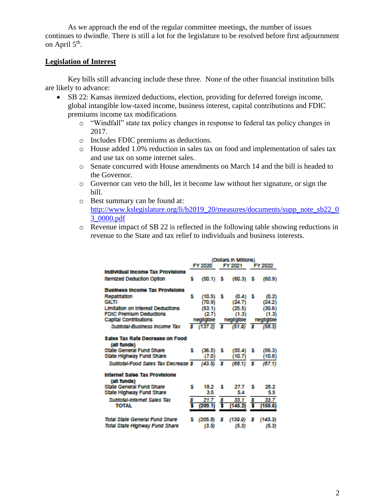As we approach the end of the regular committee meetings, the number of issues continues to dwindle. There is still a lot for the legislature to be resolved before first adjournment on April  $5<sup>th</sup>$ .

#### **Legislation of Interest**

Key bills still advancing include these three. None of the other financial institution bills are likely to advance:

- SB 22: Kansas itemized deductions, election, providing for deferred foreign income, global intangible low-taxed income, business interest, capital contributions and FDIC premiums income tax modifications
	- o "Windfall" state tax policy changes in response to federal tax policy changes in 2017.
	- o Includes FDIC premiums as deductions.
	- o House added 1.0% reduction in sales tax on food and implementation of sales tax and use tax on some internet sales.
	- o Senate concurred with House amendments on March 14 and the bill is headed to the Governor.
	- o Governor can veto the bill, let it become law without her signature, or sign the bill.
	- o Best summary can be found at: [http://www.kslegislature.org/li/b2019\\_20/measures/documents/supp\\_note\\_sb22\\_0](http://www.kslegislature.org/li/b2019_20/measures/documents/supp_note_sb22_03_0000.pdf) [3\\_0000.pdf](http://www.kslegislature.org/li/b2019_20/measures/documents/supp_note_sb22_03_0000.pdf)
	- o Revenue impact of SB 22 is reflected in the following table showing reductions in revenue to the State and tax relief to individuals and business interests.

|                                                |   |            |   | (Dollars in Millions) |    |            |
|------------------------------------------------|---|------------|---|-----------------------|----|------------|
|                                                |   | FY 2020    |   | FY 2021               |    | FY 2022    |
| <b>Individual Income Tax Provisions</b>        |   |            |   |                       |    |            |
| <b>Itemized Deduction Option</b>               | s | (50.1)     | s | (60.3)                | -S | (60.9)     |
| <b>Business Income Tax Provisions</b>          |   |            |   |                       |    |            |
| Repatriation                                   | s | (10.5)     | s | (0.4)                 | s  | (0.2)      |
| <b>GILTI</b>                                   |   | (70.9)     |   | (24.7)                |    | (24.2)     |
| <b>Limitation on Interest Deductions</b>       |   | (53.1)     |   | (25.5)                |    | (30.6)     |
| <b>FDIC Premium Deductions</b>                 |   | (2.7)      |   | (1.3)                 |    | (1.3)      |
| <b>Capital Contributions</b>                   |   | negligible |   | negligible            |    | negligible |
| Subtotal-Business Income Tax                   |   | \$(137.2)  | s | (51.9)                | s  | (50.3)     |
| Sales Tax Rate Decrease on Food<br>(all funds) |   |            |   |                       |    |            |
| <b>State General Fund Share</b>                | s | (36.5)     | s | (55.4)                | 5  | (56.3)     |
| State Highway Fund Share                       |   | (7.0)      |   | (10.7)                |    | (10.8)     |
| Subtotal-Food Sales Tax Decrease \$            |   | (43.5)     | s | (00.1)                | s  | (67.1)     |
| Internet Sales Tax Provisions<br>(all funds)   |   |            |   |                       |    |            |
| <b>State General Fund Share</b>                | s | 18.2       | s | 27.7                  | s  | 28.2       |
| State Highway Fund Share                       |   | 3.5        |   | 5.4                   |    | 5.5        |
| Subtotal-Internet Sales Tax                    | s | 21.7       | s | 33.1                  | s  | 33.7       |
| TOTAL                                          |   | (209.1)    |   | (145.2)               |    | (150.G)    |
| Total State General Fund Share                 |   | (205.6)    | s | (139.9)               | s  | (145.3)    |
| Total State Highway Fund Share                 |   | (3.5)      |   | (5.3)                 |    | (5.3)      |
|                                                |   |            |   |                       |    |            |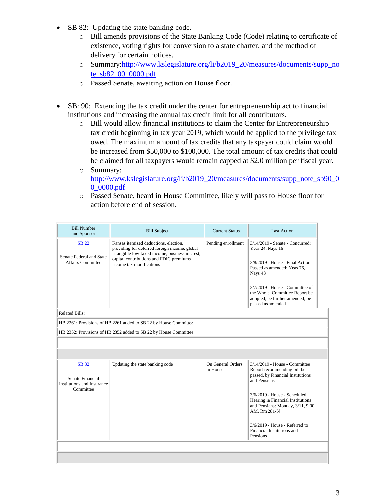- SB 82: Updating the state banking code.
	- o Bill amends provisions of the State Banking Code (Code) relating to certificate of existence, voting rights for conversion to a state charter, and the method of delivery for certain notices.
	- o Summary[:http://www.kslegislature.org/li/b2019\\_20/measures/documents/supp\\_no](http://www.kslegislature.org/li/b2019_20/measures/documents/supp_note_sb82_00_0000.pdf) [te\\_sb82\\_00\\_0000.pdf](http://www.kslegislature.org/li/b2019_20/measures/documents/supp_note_sb82_00_0000.pdf)
	- o Passed Senate, awaiting action on House floor.
- SB: 90: Extending the tax credit under the center for entrepreneurship act to financial institutions and increasing the annual tax credit limit for all contributors.
	- o Bill would allow financial institutions to claim the Center for Entrepreneurship tax credit beginning in tax year 2019, which would be applied to the privilege tax owed. The maximum amount of tax credits that any taxpayer could claim would be increased from \$50,000 to \$100,000. The total amount of tax credits that could be claimed for all taxpayers would remain capped at \$2.0 million per fiscal year.
	- o Summary: [http://www.kslegislature.org/li/b2019\\_20/measures/documents/supp\\_note\\_sb90\\_0](http://www.kslegislature.org/li/b2019_20/measures/documents/supp_note_sb90_00_0000.pdf)\_ [0\\_0000.pdf](http://www.kslegislature.org/li/b2019_20/measures/documents/supp_note_sb90_00_0000.pdf)
	- o Passed Senate, heard in House Committee, likely will pass to House floor for action before end of session.

| <b>Bill Number</b><br>and Sponsor                                           | <b>Bill Subject</b>                                                                                                                                                                                              | <b>Current Status</b>         | <b>Last Action</b>                                                                                                                                                                                                                                                                                                       |
|-----------------------------------------------------------------------------|------------------------------------------------------------------------------------------------------------------------------------------------------------------------------------------------------------------|-------------------------------|--------------------------------------------------------------------------------------------------------------------------------------------------------------------------------------------------------------------------------------------------------------------------------------------------------------------------|
| <b>SB 22</b><br>Senate Federal and State<br><b>Affairs Committee</b>        | Kansas itemized deductions, election,<br>providing for deferred foreign income, global<br>intangible low-taxed income, business interest,<br>capital contributions and FDIC premiums<br>income tax modifications | Pending enrollment            | 3/14/2019 - Senate - Concurred:<br>Yeas 24, Nays 16<br>3/8/2019 - House - Final Action:<br>Passed as amended; Yeas 76,<br>Nays 43<br>3/7/2019 - House - Committee of<br>the Whole: Committee Report be<br>adopted; be further amended; be<br>passed as amended                                                           |
| Related Bills:                                                              |                                                                                                                                                                                                                  |                               |                                                                                                                                                                                                                                                                                                                          |
|                                                                             | HB 2261: Provisions of HB 2261 added to SB 22 by House Committee                                                                                                                                                 |                               |                                                                                                                                                                                                                                                                                                                          |
|                                                                             | HB 2352: Provisions of HB 2352 added to SB 22 by House Committee                                                                                                                                                 |                               |                                                                                                                                                                                                                                                                                                                          |
|                                                                             |                                                                                                                                                                                                                  |                               |                                                                                                                                                                                                                                                                                                                          |
|                                                                             |                                                                                                                                                                                                                  |                               |                                                                                                                                                                                                                                                                                                                          |
| <b>SB 82</b><br>Senate Financial<br>Institutions and Insurance<br>Committee | Updating the state banking code                                                                                                                                                                                  | On General Orders<br>in House | 3/14/2019 - House - Committee<br>Report recommending bill be<br>passed, by Financial Institutions<br>and Pensions<br>3/6/2019 - House - Scheduled<br>Hearing in Financial Institutions<br>and Pensions: Monday, 3/11, 9:00<br>AM, Rm 281-N<br>$3/6/2019$ - House - Referred to<br>Financial Institutions and<br>Pensions |
|                                                                             |                                                                                                                                                                                                                  |                               |                                                                                                                                                                                                                                                                                                                          |
|                                                                             |                                                                                                                                                                                                                  |                               |                                                                                                                                                                                                                                                                                                                          |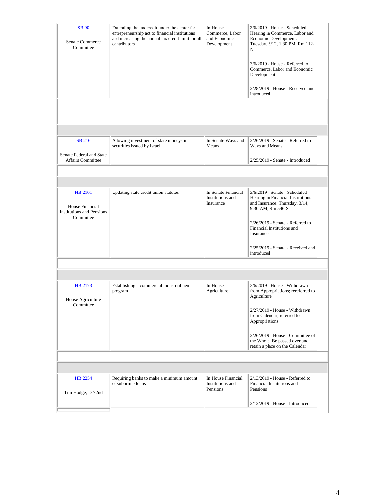| <b>SB</b> 90<br>Senate Commerce<br>Committee                   | Extending the tax credit under the center for<br>entrepreneurship act to financial institutions<br>and increasing the annual tax credit limit for all<br>contributors | In House<br>Commerce, Labor<br>and Economic<br>Development | 3/6/2019 - House - Scheduled<br>Hearing in Commerce, Labor and<br>Economic Development:<br>Tuesday, 3/12, 1:30 PM, Rm 112-<br>N<br>$3/6/2019$ - House - Referred to<br>Commerce, Labor and Economic<br>Development<br>2/28/2019 - House - Received and<br>introduced |  |
|----------------------------------------------------------------|-----------------------------------------------------------------------------------------------------------------------------------------------------------------------|------------------------------------------------------------|----------------------------------------------------------------------------------------------------------------------------------------------------------------------------------------------------------------------------------------------------------------------|--|
|                                                                |                                                                                                                                                                       |                                                            |                                                                                                                                                                                                                                                                      |  |
|                                                                |                                                                                                                                                                       |                                                            |                                                                                                                                                                                                                                                                      |  |
| SB 216<br>Senate Federal and State                             | Allowing investment of state moneys in<br>securities issued by Israel                                                                                                 | In Senate Ways and<br>Means                                | $2/26/2019$ - Senate - Referred to<br>Ways and Means                                                                                                                                                                                                                 |  |
| <b>Affairs Committee</b>                                       |                                                                                                                                                                       |                                                            | 2/25/2019 - Senate - Introduced                                                                                                                                                                                                                                      |  |
|                                                                |                                                                                                                                                                       |                                                            |                                                                                                                                                                                                                                                                      |  |
|                                                                |                                                                                                                                                                       |                                                            |                                                                                                                                                                                                                                                                      |  |
| HB 2101<br>House Financial<br><b>Institutions and Pensions</b> | Updating state credit union statutes                                                                                                                                  | In Senate Financial<br>Institutions and<br>Insurance       | 3/6/2019 - Senate - Scheduled<br>Hearing in Financial Institutions<br>and Insurance: Thursday, 3/14,<br>9:30 AM, Rm 546-S                                                                                                                                            |  |
| Committee                                                      |                                                                                                                                                                       |                                                            | $2/26/2019$ - Senate - Referred to<br>Financial Institutions and<br>Insurance                                                                                                                                                                                        |  |
|                                                                |                                                                                                                                                                       |                                                            | 2/25/2019 - Senate - Received and<br>introduced                                                                                                                                                                                                                      |  |
|                                                                |                                                                                                                                                                       |                                                            |                                                                                                                                                                                                                                                                      |  |
|                                                                |                                                                                                                                                                       |                                                            |                                                                                                                                                                                                                                                                      |  |
|                                                                |                                                                                                                                                                       | In House                                                   |                                                                                                                                                                                                                                                                      |  |
| HB 2173<br>House Agriculture                                   | Establishing a commercial industrial hemp<br>program                                                                                                                  | Agriculture                                                | 3/6/2019 - House - Withdrawn<br>from Appropriations; rereferred to<br>Agriculture                                                                                                                                                                                    |  |
| Committee                                                      |                                                                                                                                                                       |                                                            | 2/27/2019 - House - Withdrawn<br>from Calendar; referred to<br>Appropriations                                                                                                                                                                                        |  |
|                                                                |                                                                                                                                                                       |                                                            | $2/26/2019$ - House - Committee of<br>the Whole: Be passed over and<br>retain a place on the Calendar                                                                                                                                                                |  |
|                                                                |                                                                                                                                                                       |                                                            |                                                                                                                                                                                                                                                                      |  |
|                                                                |                                                                                                                                                                       |                                                            |                                                                                                                                                                                                                                                                      |  |
|                                                                |                                                                                                                                                                       |                                                            |                                                                                                                                                                                                                                                                      |  |
| <b>HB</b> 2254<br>Tim Hodge, D-72nd                            | Requiring banks to make a minimum amount<br>of subprime loans                                                                                                         | In House Financial<br>Institutions and<br>Pensions         | $2/13/2019$ - House - Referred to<br>Financial Institutions and<br>Pensions                                                                                                                                                                                          |  |
|                                                                |                                                                                                                                                                       |                                                            | $2/12/2019$ - House - Introduced                                                                                                                                                                                                                                     |  |
|                                                                |                                                                                                                                                                       |                                                            |                                                                                                                                                                                                                                                                      |  |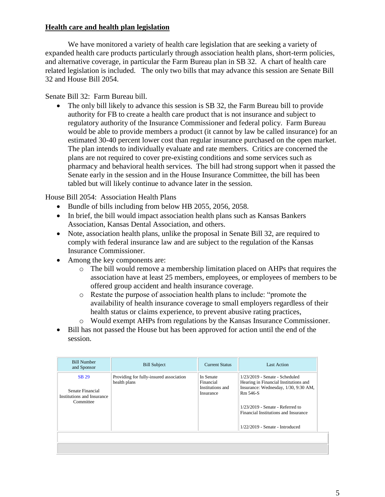### **Health care and health plan legislation**

We have monitored a variety of health care legislation that are seeking a variety of expanded health care products particularly through association health plans, short-term policies, and alternative coverage, in particular the Farm Bureau plan in SB 32. A chart of health care related legislation is included. The only two bills that may advance this session are Senate Bill 32 and House Bill 2054.

Senate Bill 32: Farm Bureau bill.

The only bill likely to advance this session is SB 32, the Farm Bureau bill to provide authority for FB to create a health care product that is not insurance and subject to regulatory authority of the Insurance Commissioner and federal policy. Farm Bureau would be able to provide members a product (it cannot by law be called insurance) for an estimated 30-40 percent lower cost than regular insurance purchased on the open market. The plan intends to individually evaluate and rate members. Critics are concerned the plans are not required to cover pre-existing conditions and some services such as pharmacy and behavioral health services. The bill had strong support when it passed the Senate early in the session and in the House Insurance Committee, the bill has been tabled but will likely continue to advance later in the session.

House Bill 2054: Association Health Plans

- Bundle of bills including from below HB 2055, 2056, 2058.
- In brief, the bill would impact association health plans such as Kansas Bankers Association, Kansas Dental Association, and others.
- Note, association health plans, unlike the proposal in Senate Bill 32, are required to comply with federal insurance law and are subject to the regulation of the Kansas Insurance Commissioner.
- Among the key components are:
	- o The bill would remove a membership limitation placed on AHPs that requires the association have at least 25 members, employees, or employees of members to be offered group accident and health insurance coverage.
	- o Restate the purpose of association health plans to include: "promote the availability of health insurance coverage to small employers regardless of their health status or claims experience, to prevent abusive rating practices,
	- o Would exempt AHPs from regulations by the Kansas Insurance Commissioner.
- Bill has not passed the House but has been approved for action until the end of the session.

| <b>Bill Number</b><br>and Sponsor                                           | <b>Bill Subject</b>                                     | <b>Current Status</b>                                   | Last Action                                                                                                                                                                                                                                      |
|-----------------------------------------------------------------------------|---------------------------------------------------------|---------------------------------------------------------|--------------------------------------------------------------------------------------------------------------------------------------------------------------------------------------------------------------------------------------------------|
| <b>SB 29</b><br>Senate Financial<br>Institutions and Insurance<br>Committee | Providing for fully-insured association<br>health plans | In Senate<br>Financial<br>Institutions and<br>Insurance | $1/23/2019$ - Senate - Scheduled<br>Hearing in Financial Institutions and<br>Insurance: Wednesday, 1/30, 9:30 AM,<br>Rm 546-S<br>$1/23/2019$ - Senate - Referred to<br>Financial Institutions and Insurance<br>$1/22/2019$ - Senate - Introduced |
|                                                                             |                                                         |                                                         |                                                                                                                                                                                                                                                  |
|                                                                             |                                                         |                                                         |                                                                                                                                                                                                                                                  |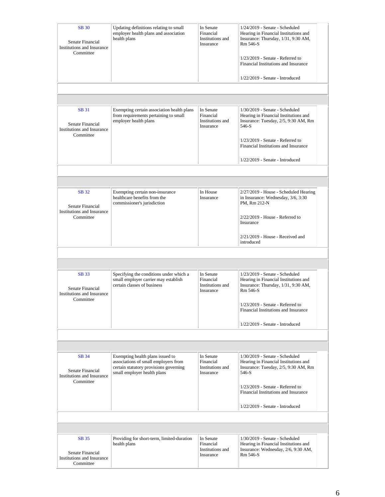| <b>SB 30</b><br>Senate Financial<br>Institutions and Insurance<br>Committee        | Updating definitions relating to small<br>employer health plans and association<br>health plans                                                   | In Senate<br>Financial<br>Institutions and<br>Insurance | 1/24/2019 - Senate - Scheduled<br>Hearing in Financial Institutions and<br>Insurance: Thursday, 1/31, 9:30 AM,<br>Rm 546-S<br>$1/23/2019$ - Senate - Referred to<br>Financial Institutions and Insurance<br>$1/22/2019$ - Senate - Introduced |
|------------------------------------------------------------------------------------|---------------------------------------------------------------------------------------------------------------------------------------------------|---------------------------------------------------------|-----------------------------------------------------------------------------------------------------------------------------------------------------------------------------------------------------------------------------------------------|
|                                                                                    |                                                                                                                                                   |                                                         |                                                                                                                                                                                                                                               |
| <b>SB</b> 31<br>Senate Financial<br>Institutions and Insurance<br>Committee        | Exempting certain association health plans<br>from requirements pertaining to small<br>employer health plans                                      | In Senate<br>Financial<br>Institutions and<br>Insurance | 1/30/2019 - Senate - Scheduled<br>Hearing in Financial Institutions and<br>Insurance: Tuesday, 2/5, 9:30 AM, Rm<br>546-S<br>$1/23/2019$ - Senate - Referred to<br>Financial Institutions and Insurance<br>1/22/2019 - Senate - Introduced     |
|                                                                                    |                                                                                                                                                   |                                                         |                                                                                                                                                                                                                                               |
|                                                                                    |                                                                                                                                                   |                                                         |                                                                                                                                                                                                                                               |
| <b>SB</b> 32<br>Senate Financial<br><b>Institutions and Insurance</b><br>Committee | Exempting certain non-insurance<br>healthcare benefits from the<br>commissioner's jurisdiction                                                    | In House<br>Insurance                                   | 2/27/2019 - House - Scheduled Hearing<br>in Insurance: Wednesday, 3/6, 3:30<br>PM, Rm 212-N<br>$2/22/2019$ - House - Referred to<br>Insurance<br>$2/21/2019$ - House - Received and<br>introduced                                             |
|                                                                                    |                                                                                                                                                   |                                                         |                                                                                                                                                                                                                                               |
|                                                                                    |                                                                                                                                                   |                                                         |                                                                                                                                                                                                                                               |
| <b>SB33</b><br>Senate Financial<br>Institutions and Insurance<br>Committee         | Specifying the conditions under which a<br>small employer carrier may establish<br>certain classes of business                                    | In Senate<br>Financial<br>Institutions and<br>Insurance | $1/23/2019$ - Senate - Scheduled<br>Hearing in Financial Institutions and<br>Insurance: Thursday, 1/31, 9:30 AM,<br>Rm 546-S<br>1/23/2019 - Senate - Referred to<br>Financial Institutions and Insurance<br>1/22/2019 - Senate - Introduced   |
|                                                                                    |                                                                                                                                                   |                                                         |                                                                                                                                                                                                                                               |
|                                                                                    |                                                                                                                                                   |                                                         |                                                                                                                                                                                                                                               |
| SB 34<br>Senate Financial<br><b>Institutions and Insurance</b><br>Committee        | Exempting health plans issued to<br>associations of small employers from<br>certain statutory provisions governing<br>small employer health plans | In Senate<br>Financial<br>Institutions and<br>Insurance | 1/30/2019 - Senate - Scheduled<br>Hearing in Financial Institutions and<br>Insurance: Tuesday, 2/5, 9:30 AM, Rm<br>546-S<br>$1/23/2019$ - Senate - Referred to<br>Financial Institutions and Insurance<br>1/22/2019 - Senate - Introduced     |
|                                                                                    |                                                                                                                                                   |                                                         |                                                                                                                                                                                                                                               |
|                                                                                    |                                                                                                                                                   |                                                         |                                                                                                                                                                                                                                               |
| SB 35<br>Senate Financial<br>Institutions and Insurance<br>Committee               | Providing for short-term, limited-duration<br>health plans                                                                                        | In Senate<br>Financial<br>Institutions and<br>Insurance | 1/30/2019 - Senate - Scheduled<br>Hearing in Financial Institutions and<br>Insurance: Wednesday, 2/6, 9:30 AM,<br>Rm 546-S                                                                                                                    |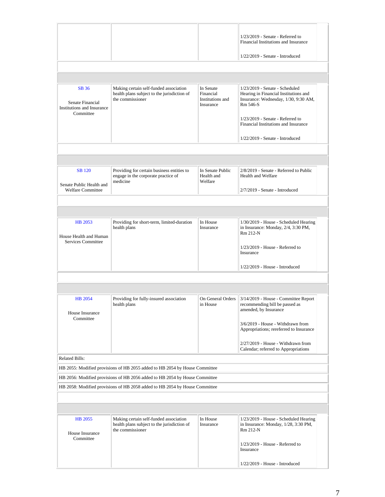|                                                                             |                                                                                                           |                                                         | $1/23/2019$ - Senate - Referred to<br>Financial Institutions and Insurance                                                                                                                                |  |  |
|-----------------------------------------------------------------------------|-----------------------------------------------------------------------------------------------------------|---------------------------------------------------------|-----------------------------------------------------------------------------------------------------------------------------------------------------------------------------------------------------------|--|--|
|                                                                             |                                                                                                           |                                                         | 1/22/2019 - Senate - Introduced                                                                                                                                                                           |  |  |
|                                                                             |                                                                                                           |                                                         |                                                                                                                                                                                                           |  |  |
|                                                                             |                                                                                                           |                                                         |                                                                                                                                                                                                           |  |  |
| <b>SB</b> 36<br>Senate Financial<br>Institutions and Insurance<br>Committee | Making certain self-funded association<br>health plans subject to the jurisdiction of<br>the commissioner | In Senate<br>Financial<br>Institutions and<br>Insurance | 1/23/2019 - Senate - Scheduled<br>Hearing in Financial Institutions and<br>Insurance: Wednesday, 1/30, 9:30 AM,<br>Rm 546-S<br>$1/23/2019$ - Senate - Referred to<br>Financial Institutions and Insurance |  |  |
|                                                                             |                                                                                                           |                                                         | 1/22/2019 - Senate - Introduced                                                                                                                                                                           |  |  |
|                                                                             |                                                                                                           |                                                         |                                                                                                                                                                                                           |  |  |
|                                                                             |                                                                                                           |                                                         |                                                                                                                                                                                                           |  |  |
| <b>SB</b> 120<br>Senate Public Health and                                   | Providing for certain business entities to<br>engage in the corporate practice of<br>medicine             | In Senate Public<br>Health and<br>Welfare               | 2/8/2019 - Senate - Referred to Public<br>Health and Welfare                                                                                                                                              |  |  |
| <b>Welfare Committee</b>                                                    |                                                                                                           |                                                         | 2/7/2019 - Senate - Introduced                                                                                                                                                                            |  |  |
|                                                                             |                                                                                                           |                                                         |                                                                                                                                                                                                           |  |  |
|                                                                             |                                                                                                           |                                                         |                                                                                                                                                                                                           |  |  |
| HB 2053<br>House Health and Human<br>Services Committee                     | Providing for short-term, limited-duration<br>health plans                                                | In House<br>Insurance                                   | 1/30/2019 - House - Scheduled Hearing<br>in Insurance: Monday, 2/4, 3:30 PM,<br>Rm 212-N                                                                                                                  |  |  |
|                                                                             |                                                                                                           |                                                         | $1/23/2019$ - House - Referred to<br>Insurance                                                                                                                                                            |  |  |
|                                                                             |                                                                                                           |                                                         | $1/22/2019$ - House - Introduced                                                                                                                                                                          |  |  |
|                                                                             |                                                                                                           |                                                         |                                                                                                                                                                                                           |  |  |
|                                                                             |                                                                                                           |                                                         |                                                                                                                                                                                                           |  |  |
| <b>HB</b> 2054<br>House Insurance                                           | Providing for fully-insured association<br>health plans                                                   | On General Orders<br>in House                           | 3/14/2019 - House - Committee Report<br>recommending bill be passed as<br>amended, by Insurance                                                                                                           |  |  |
| Committee                                                                   |                                                                                                           |                                                         | 3/6/2019 - House - Withdrawn from<br>Appropriations; rereferred to Insurance                                                                                                                              |  |  |
|                                                                             |                                                                                                           |                                                         | 2/27/2019 - House - Withdrawn from<br>Calendar; referred to Appropriations                                                                                                                                |  |  |
| <b>Related Bills:</b>                                                       |                                                                                                           |                                                         |                                                                                                                                                                                                           |  |  |
|                                                                             | HB 2055: Modified provisions of HB 2055 added to HB 2054 by House Committee                               |                                                         |                                                                                                                                                                                                           |  |  |
| HB 2056: Modified provisions of HB 2056 added to HB 2054 by House Committee |                                                                                                           |                                                         |                                                                                                                                                                                                           |  |  |
|                                                                             | HB 2058: Modified provisions of HB 2058 added to HB 2054 by House Committee                               |                                                         |                                                                                                                                                                                                           |  |  |
|                                                                             |                                                                                                           |                                                         |                                                                                                                                                                                                           |  |  |
|                                                                             |                                                                                                           |                                                         |                                                                                                                                                                                                           |  |  |
| HB 2055<br>House Insurance<br>Committee                                     | Making certain self-funded association<br>health plans subject to the jurisdiction of<br>the commissioner | In House<br>Insurance                                   | 1/23/2019 - House - Scheduled Hearing<br>in Insurance: Monday, 1/28, 3:30 PM,<br>Rm 212-N                                                                                                                 |  |  |
|                                                                             |                                                                                                           |                                                         | $1/23/2019$ - House - Referred to<br>Insurance                                                                                                                                                            |  |  |
|                                                                             |                                                                                                           |                                                         | $1/22/2019$ - House - Introduced                                                                                                                                                                          |  |  |